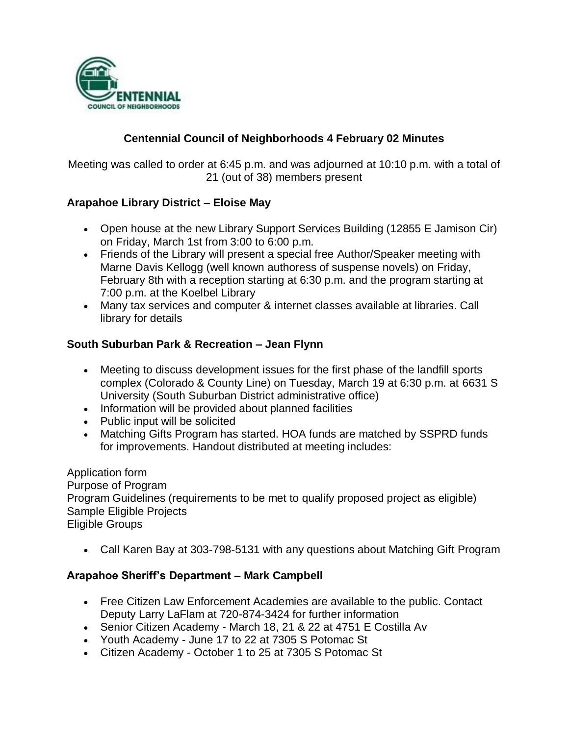

## **Centennial Council of Neighborhoods 4 February 02 Minutes**

Meeting was called to order at 6:45 p.m. and was adjourned at 10:10 p.m. with a total of 21 (out of 38) members present

### **Arapahoe Library District – Eloise May**

- Open house at the new Library Support Services Building (12855 E Jamison Cir) on Friday, March 1st from 3:00 to 6:00 p.m.
- Friends of the Library will present a special free Author/Speaker meeting with Marne Davis Kellogg (well known authoress of suspense novels) on Friday, February 8th with a reception starting at 6:30 p.m. and the program starting at 7:00 p.m. at the Koelbel Library
- Many tax services and computer & internet classes available at libraries. Call library for details

### **South Suburban Park & Recreation – Jean Flynn**

- Meeting to discuss development issues for the first phase of the landfill sports complex (Colorado & County Line) on Tuesday, March 19 at 6:30 p.m. at 6631 S University (South Suburban District administrative office)
- Information will be provided about planned facilities
- Public input will be solicited
- Matching Gifts Program has started. HOA funds are matched by SSPRD funds for improvements. Handout distributed at meeting includes:

Application form Purpose of Program Program Guidelines (requirements to be met to qualify proposed project as eligible) Sample Eligible Projects Eligible Groups

Call Karen Bay at 303-798-5131 with any questions about Matching Gift Program

#### **Arapahoe Sheriff's Department – Mark Campbell**

- Free Citizen Law Enforcement Academies are available to the public. Contact Deputy Larry LaFlam at 720-874-3424 for further information
- Senior Citizen Academy March 18, 21 & 22 at 4751 E Costilla Av
- Youth Academy June 17 to 22 at 7305 S Potomac St
- Citizen Academy October 1 to 25 at 7305 S Potomac St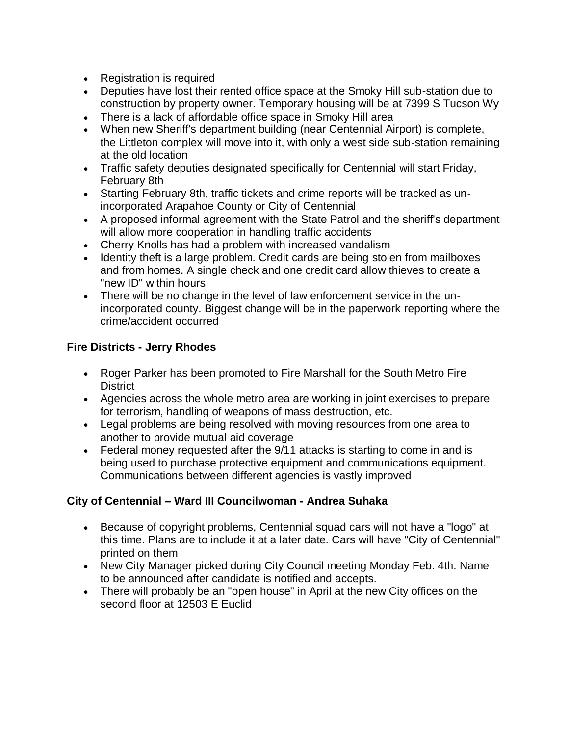- Registration is required
- Deputies have lost their rented office space at the Smoky Hill sub-station due to construction by property owner. Temporary housing will be at 7399 S Tucson Wy
- There is a lack of affordable office space in Smoky Hill area
- When new Sheriff's department building (near Centennial Airport) is complete, the Littleton complex will move into it, with only a west side sub-station remaining at the old location
- Traffic safety deputies designated specifically for Centennial will start Friday, February 8th
- Starting February 8th, traffic tickets and crime reports will be tracked as unincorporated Arapahoe County or City of Centennial
- A proposed informal agreement with the State Patrol and the sheriff's department will allow more cooperation in handling traffic accidents
- Cherry Knolls has had a problem with increased vandalism
- Identity theft is a large problem. Credit cards are being stolen from mailboxes and from homes. A single check and one credit card allow thieves to create a "new ID" within hours
- There will be no change in the level of law enforcement service in the unincorporated county. Biggest change will be in the paperwork reporting where the crime/accident occurred

# **Fire Districts - Jerry Rhodes**

- Roger Parker has been promoted to Fire Marshall for the South Metro Fire **District**
- Agencies across the whole metro area are working in joint exercises to prepare for terrorism, handling of weapons of mass destruction, etc.
- Legal problems are being resolved with moving resources from one area to another to provide mutual aid coverage
- Federal money requested after the 9/11 attacks is starting to come in and is being used to purchase protective equipment and communications equipment. Communications between different agencies is vastly improved

# **City of Centennial – Ward III Councilwoman - Andrea Suhaka**

- Because of copyright problems, Centennial squad cars will not have a "logo" at this time. Plans are to include it at a later date. Cars will have "City of Centennial" printed on them
- New City Manager picked during City Council meeting Monday Feb. 4th. Name to be announced after candidate is notified and accepts.
- There will probably be an "open house" in April at the new City offices on the second floor at 12503 E Euclid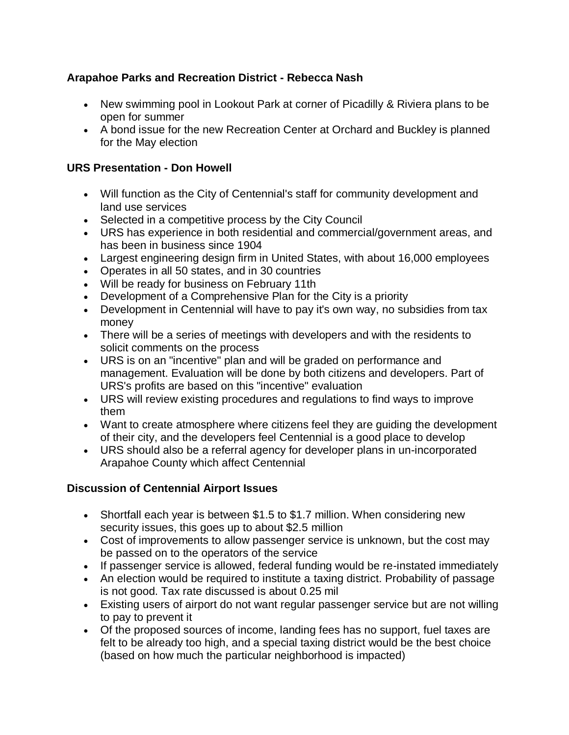### **Arapahoe Parks and Recreation District - Rebecca Nash**

- New swimming pool in Lookout Park at corner of Picadilly & Riviera plans to be open for summer
- A bond issue for the new Recreation Center at Orchard and Buckley is planned for the May election

### **URS Presentation - Don Howell**

- Will function as the City of Centennial's staff for community development and land use services
- Selected in a competitive process by the City Council
- URS has experience in both residential and commercial/government areas, and has been in business since 1904
- Largest engineering design firm in United States, with about 16,000 employees
- Operates in all 50 states, and in 30 countries
- Will be ready for business on February 11th
- Development of a Comprehensive Plan for the City is a priority
- Development in Centennial will have to pay it's own way, no subsidies from tax money
- There will be a series of meetings with developers and with the residents to solicit comments on the process
- URS is on an "incentive" plan and will be graded on performance and management. Evaluation will be done by both citizens and developers. Part of URS's profits are based on this "incentive" evaluation
- URS will review existing procedures and regulations to find ways to improve them
- Want to create atmosphere where citizens feel they are guiding the development of their city, and the developers feel Centennial is a good place to develop
- URS should also be a referral agency for developer plans in un-incorporated Arapahoe County which affect Centennial

# **Discussion of Centennial Airport Issues**

- Shortfall each year is between \$1.5 to \$1.7 million. When considering new security issues, this goes up to about \$2.5 million
- Cost of improvements to allow passenger service is unknown, but the cost may be passed on to the operators of the service
- If passenger service is allowed, federal funding would be re-instated immediately
- An election would be required to institute a taxing district. Probability of passage is not good. Tax rate discussed is about 0.25 mil
- Existing users of airport do not want regular passenger service but are not willing to pay to prevent it
- Of the proposed sources of income, landing fees has no support, fuel taxes are felt to be already too high, and a special taxing district would be the best choice (based on how much the particular neighborhood is impacted)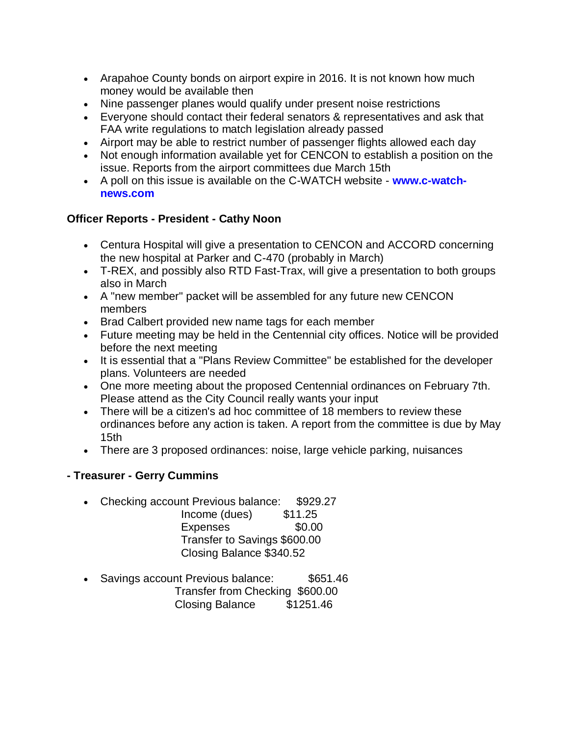- Arapahoe County bonds on airport expire in 2016. It is not known how much money would be available then
- Nine passenger planes would qualify under present noise restrictions
- Everyone should contact their federal senators & representatives and ask that FAA write regulations to match legislation already passed
- Airport may be able to restrict number of passenger flights allowed each day
- Not enough information available yet for CENCON to establish a position on the issue. Reports from the airport committees due March 15th
- A poll on this issue is available on the C-WATCH website **www.c-watchnews.com**

## **Officer Reports - President - Cathy Noon**

- Centura Hospital will give a presentation to CENCON and ACCORD concerning the new hospital at Parker and C-470 (probably in March)
- T-REX, and possibly also RTD Fast-Trax, will give a presentation to both groups also in March
- A "new member" packet will be assembled for any future new CENCON members
- Brad Calbert provided new name tags for each member
- Future meeting may be held in the Centennial city offices. Notice will be provided before the next meeting
- It is essential that a "Plans Review Committee" be established for the developer plans. Volunteers are needed
- One more meeting about the proposed Centennial ordinances on February 7th. Please attend as the City Council really wants your input
- There will be a citizen's ad hoc committee of 18 members to review these ordinances before any action is taken. A report from the committee is due by May 15th
- There are 3 proposed ordinances: noise, large vehicle parking, nuisances

# **- Treasurer - Gerry Cummins**

- Checking account Previous balance: \$929.27
	- Income (dues) \$11.25 Expenses \$0.00 Transfer to Savings \$600.00 Closing Balance \$340.52
- Savings account Previous balance: \$651.46 Transfer from Checking \$600.00 Closing Balance \$1251.46